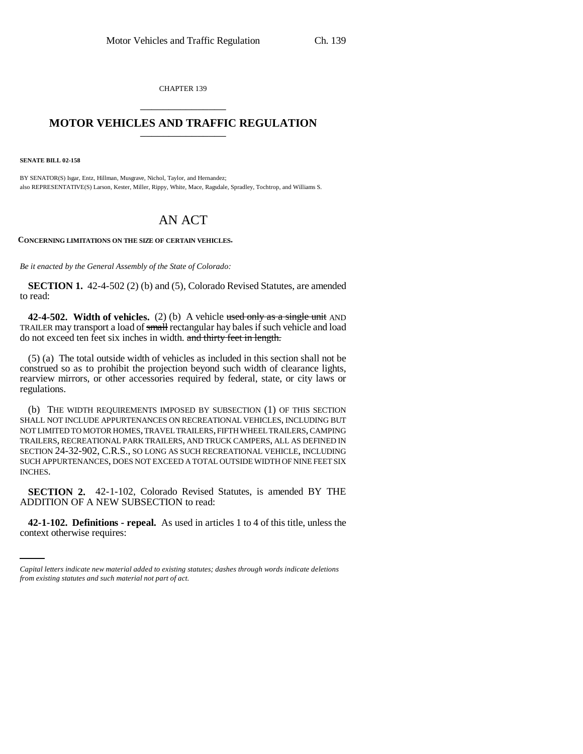CHAPTER 139 \_\_\_\_\_\_\_\_\_\_\_\_\_\_\_

## **MOTOR VEHICLES AND TRAFFIC REGULATION** \_\_\_\_\_\_\_\_\_\_\_\_\_\_\_

**SENATE BILL 02-158**

BY SENATOR(S) Isgar, Entz, Hillman, Musgrave, Nichol, Taylor, and Hernandez; also REPRESENTATIVE(S) Larson, Kester, Miller, Rippy, White, Mace, Ragsdale, Spradley, Tochtrop, and Williams S.

## AN ACT

**CONCERNING LIMITATIONS ON THE SIZE OF CERTAIN VEHICLES.**

*Be it enacted by the General Assembly of the State of Colorado:*

**SECTION 1.** 42-4-502 (2) (b) and (5), Colorado Revised Statutes, are amended to read:

**42-4-502. Width of vehicles.** (2) (b) A vehicle used only as a single unit AND TRAILER may transport a load of small rectangular hay bales if such vehicle and load do not exceed ten feet six inches in width. and thirty feet in length.

(5) (a) The total outside width of vehicles as included in this section shall not be construed so as to prohibit the projection beyond such width of clearance lights, rearview mirrors, or other accessories required by federal, state, or city laws or regulations.

(b) THE WIDTH REQUIREMENTS IMPOSED BY SUBSECTION (1) OF THIS SECTION SHALL NOT INCLUDE APPURTENANCES ON RECREATIONAL VEHICLES, INCLUDING BUT NOT LIMITED TO MOTOR HOMES, TRAVEL TRAILERS, FIFTH WHEEL TRAILERS, CAMPING TRAILERS, RECREATIONAL PARK TRAILERS, AND TRUCK CAMPERS, ALL AS DEFINED IN SECTION 24-32-902, C.R.S., SO LONG AS SUCH RECREATIONAL VEHICLE, INCLUDING SUCH APPURTENANCES, DOES NOT EXCEED A TOTAL OUTSIDE WIDTH OF NINE FEET SIX INCHES.

ADDITION OF A NEW SUBSECTION to read: **SECTION 2.** 42-1-102, Colorado Revised Statutes, is amended BY THE

**42-1-102. Definitions - repeal.** As used in articles 1 to 4 of this title, unless the context otherwise requires:

*Capital letters indicate new material added to existing statutes; dashes through words indicate deletions from existing statutes and such material not part of act.*